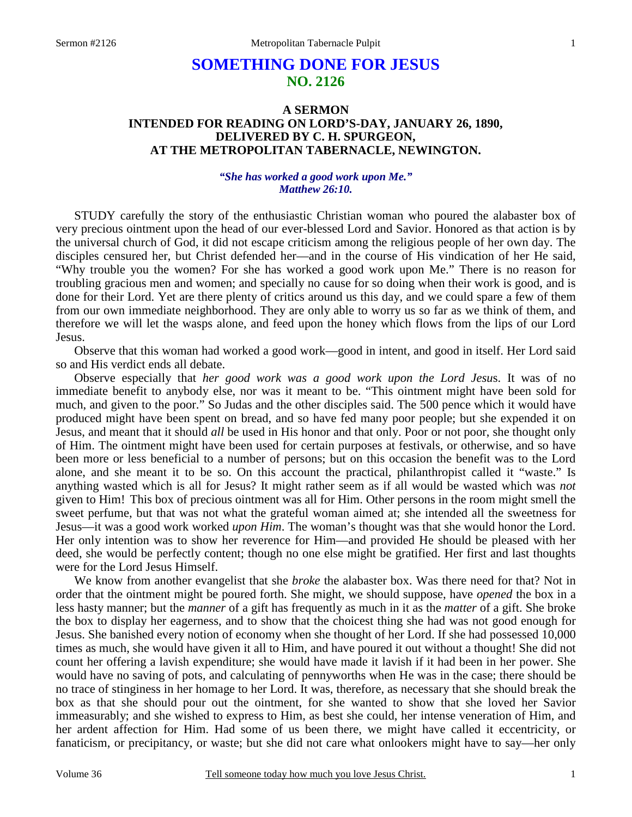# **SOMETHING DONE FOR JESUS NO. 2126**

# **A SERMON INTENDED FOR READING ON LORD'S-DAY, JANUARY 26, 1890, DELIVERED BY C. H. SPURGEON, AT THE METROPOLITAN TABERNACLE, NEWINGTON.**

#### *"She has worked a good work upon Me." Matthew 26:10.*

STUDY carefully the story of the enthusiastic Christian woman who poured the alabaster box of very precious ointment upon the head of our ever-blessed Lord and Savior. Honored as that action is by the universal church of God, it did not escape criticism among the religious people of her own day. The disciples censured her, but Christ defended her—and in the course of His vindication of her He said, "Why trouble you the women? For she has worked a good work upon Me." There is no reason for troubling gracious men and women; and specially no cause for so doing when their work is good, and is done for their Lord. Yet are there plenty of critics around us this day, and we could spare a few of them from our own immediate neighborhood. They are only able to worry us so far as we think of them, and therefore we will let the wasps alone, and feed upon the honey which flows from the lips of our Lord Jesus.

 Observe that this woman had worked a good work—good in intent, and good in itself. Her Lord said so and His verdict ends all debate.

 Observe especially that *her good work was a good work upon the Lord Jesu*s. It was of no immediate benefit to anybody else, nor was it meant to be. "This ointment might have been sold for much, and given to the poor." So Judas and the other disciples said. The 500 pence which it would have produced might have been spent on bread, and so have fed many poor people; but she expended it on Jesus, and meant that it should *all* be used in His honor and that only. Poor or not poor, she thought only of Him. The ointment might have been used for certain purposes at festivals, or otherwise, and so have been more or less beneficial to a number of persons; but on this occasion the benefit was to the Lord alone, and she meant it to be so. On this account the practical, philanthropist called it "waste." Is anything wasted which is all for Jesus? It might rather seem as if all would be wasted which was *not* given to Him! This box of precious ointment was all for Him. Other persons in the room might smell the sweet perfume, but that was not what the grateful woman aimed at; she intended all the sweetness for Jesus—it was a good work worked *upon Him*. The woman's thought was that she would honor the Lord. Her only intention was to show her reverence for Him—and provided He should be pleased with her deed, she would be perfectly content; though no one else might be gratified. Her first and last thoughts were for the Lord Jesus Himself.

 We know from another evangelist that she *broke* the alabaster box. Was there need for that? Not in order that the ointment might be poured forth. She might, we should suppose, have *opened* the box in a less hasty manner; but the *manner* of a gift has frequently as much in it as the *matter* of a gift. She broke the box to display her eagerness, and to show that the choicest thing she had was not good enough for Jesus. She banished every notion of economy when she thought of her Lord. If she had possessed 10,000 times as much, she would have given it all to Him, and have poured it out without a thought! She did not count her offering a lavish expenditure; she would have made it lavish if it had been in her power. She would have no saving of pots, and calculating of pennyworths when He was in the case; there should be no trace of stinginess in her homage to her Lord. It was, therefore, as necessary that she should break the box as that she should pour out the ointment, for she wanted to show that she loved her Savior immeasurably; and she wished to express to Him, as best she could, her intense veneration of Him, and her ardent affection for Him. Had some of us been there, we might have called it eccentricity, or fanaticism, or precipitancy, or waste; but she did not care what onlookers might have to say—her only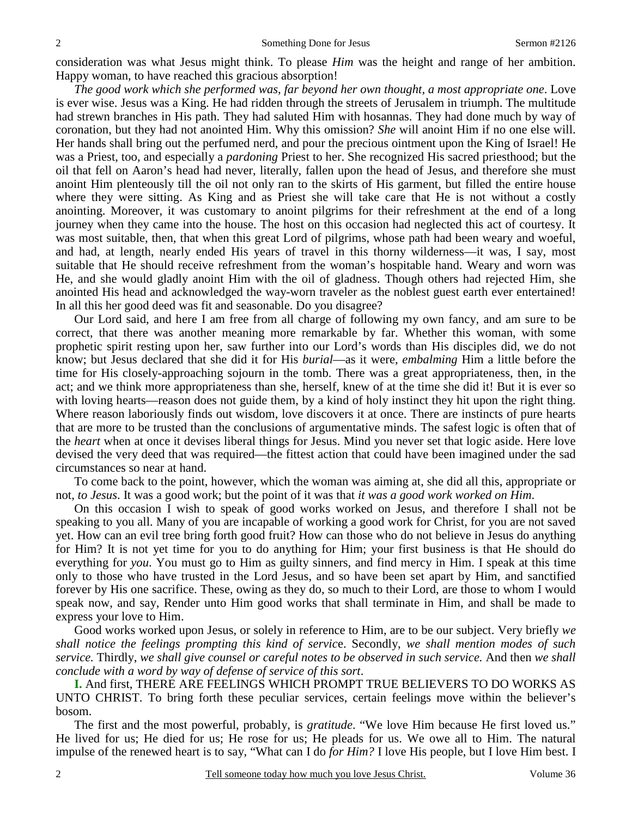consideration was what Jesus might think. To please *Him* was the height and range of her ambition. Happy woman, to have reached this gracious absorption!

 *The good work which she performed was, far beyond her own thought, a most appropriate one*. Love is ever wise. Jesus was a King. He had ridden through the streets of Jerusalem in triumph. The multitude had strewn branches in His path. They had saluted Him with hosannas. They had done much by way of coronation, but they had not anointed Him. Why this omission? *She* will anoint Him if no one else will. Her hands shall bring out the perfumed nerd, and pour the precious ointment upon the King of Israel! He was a Priest, too, and especially a *pardoning* Priest to her. She recognized His sacred priesthood; but the oil that fell on Aaron's head had never, literally, fallen upon the head of Jesus, and therefore she must anoint Him plenteously till the oil not only ran to the skirts of His garment, but filled the entire house where they were sitting. As King and as Priest she will take care that He is not without a costly anointing. Moreover, it was customary to anoint pilgrims for their refreshment at the end of a long journey when they came into the house. The host on this occasion had neglected this act of courtesy. It was most suitable, then, that when this great Lord of pilgrims, whose path had been weary and woeful, and had, at length, nearly ended His years of travel in this thorny wilderness—it was, I say, most suitable that He should receive refreshment from the woman's hospitable hand. Weary and worn was He, and she would gladly anoint Him with the oil of gladness. Though others had rejected Him, she anointed His head and acknowledged the way-worn traveler as the noblest guest earth ever entertained! In all this her good deed was fit and seasonable. Do you disagree?

 Our Lord said, and here I am free from all charge of following my own fancy, and am sure to be correct, that there was another meaning more remarkable by far. Whether this woman, with some prophetic spirit resting upon her, saw further into our Lord's words than His disciples did, we do not know; but Jesus declared that she did it for His *burial*—as it were, *embalming* Him a little before the time for His closely-approaching sojourn in the tomb. There was a great appropriateness, then, in the act; and we think more appropriateness than she, herself, knew of at the time she did it! But it is ever so with loving hearts—reason does not guide them, by a kind of holy instinct they hit upon the right thing. Where reason laboriously finds out wisdom, love discovers it at once. There are instincts of pure hearts that are more to be trusted than the conclusions of argumentative minds. The safest logic is often that of the *heart* when at once it devises liberal things for Jesus. Mind you never set that logic aside. Here love devised the very deed that was required—the fittest action that could have been imagined under the sad circumstances so near at hand.

 To come back to the point, however, which the woman was aiming at, she did all this, appropriate or not, *to Jesus*. It was a good work; but the point of it was that *it was a good work worked on Him*.

 On this occasion I wish to speak of good works worked on Jesus, and therefore I shall not be speaking to you all. Many of you are incapable of working a good work for Christ, for you are not saved yet. How can an evil tree bring forth good fruit? How can those who do not believe in Jesus do anything for Him? It is not yet time for you to do anything for Him; your first business is that He should do everything for *you*. You must go to Him as guilty sinners, and find mercy in Him. I speak at this time only to those who have trusted in the Lord Jesus, and so have been set apart by Him, and sanctified forever by His one sacrifice. These, owing as they do, so much to their Lord, are those to whom I would speak now, and say, Render unto Him good works that shall terminate in Him, and shall be made to express your love to Him.

 Good works worked upon Jesus, or solely in reference to Him, are to be our subject. Very briefly *we shall notice the feelings prompting this kind of servic*e. Secondly, *we shall mention modes of such service.* Thirdly, *we shall give counsel or careful notes to be observed in such service.* And then *we shall conclude with a word by way of defense of service of this sort*.

**I.** And first, THERE ARE FEELINGS WHICH PROMPT TRUE BELIEVERS TO DO WORKS AS UNTO CHRIST. To bring forth these peculiar services, certain feelings move within the believer's bosom.

 The first and the most powerful, probably, is *gratitude*. "We love Him because He first loved us." He lived for us; He died for us; He rose for us; He pleads for us. We owe all to Him. The natural impulse of the renewed heart is to say, "What can I do *for Him?* I love His people, but I love Him best. I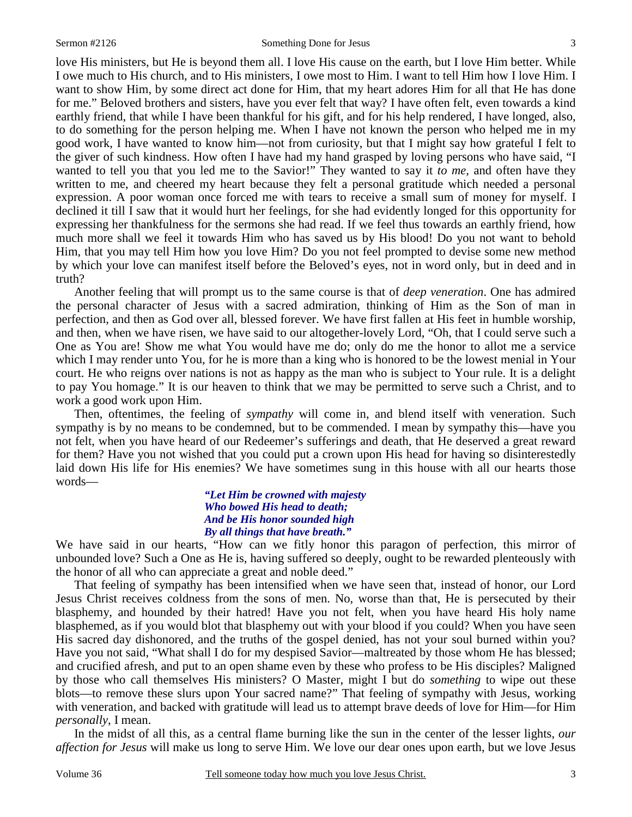3

love His ministers, but He is beyond them all. I love His cause on the earth, but I love Him better. While I owe much to His church, and to His ministers, I owe most to Him. I want to tell Him how I love Him. I want to show Him, by some direct act done for Him, that my heart adores Him for all that He has done for me." Beloved brothers and sisters, have you ever felt that way? I have often felt, even towards a kind earthly friend, that while I have been thankful for his gift, and for his help rendered, I have longed, also, to do something for the person helping me. When I have not known the person who helped me in my good work, I have wanted to know him—not from curiosity, but that I might say how grateful I felt to the giver of such kindness. How often I have had my hand grasped by loving persons who have said, "I wanted to tell you that you led me to the Savior!" They wanted to say it *to me,* and often have they written to me, and cheered my heart because they felt a personal gratitude which needed a personal expression. A poor woman once forced me with tears to receive a small sum of money for myself. I declined it till I saw that it would hurt her feelings, for she had evidently longed for this opportunity for expressing her thankfulness for the sermons she had read. If we feel thus towards an earthly friend, how much more shall we feel it towards Him who has saved us by His blood! Do you not want to behold Him, that you may tell Him how you love Him? Do you not feel prompted to devise some new method by which your love can manifest itself before the Beloved's eyes, not in word only, but in deed and in truth?

 Another feeling that will prompt us to the same course is that of *deep veneration*. One has admired the personal character of Jesus with a sacred admiration, thinking of Him as the Son of man in perfection, and then as God over all, blessed forever. We have first fallen at His feet in humble worship, and then, when we have risen, we have said to our altogether-lovely Lord, "Oh, that I could serve such a One as You are! Show me what You would have me do; only do me the honor to allot me a service which I may render unto You, for he is more than a king who is honored to be the lowest menial in Your court. He who reigns over nations is not as happy as the man who is subject to Your rule. It is a delight to pay You homage." It is our heaven to think that we may be permitted to serve such a Christ, and to work a good work upon Him.

 Then, oftentimes, the feeling of *sympathy* will come in, and blend itself with veneration. Such sympathy is by no means to be condemned, but to be commended. I mean by sympathy this—have you not felt, when you have heard of our Redeemer's sufferings and death, that He deserved a great reward for them? Have you not wished that you could put a crown upon His head for having so disinterestedly laid down His life for His enemies? We have sometimes sung in this house with all our hearts those words—

> *"Let Him be crowned with majesty Who bowed His head to death; And be His honor sounded high By all things that have breath."*

We have said in our hearts, "How can we fitly honor this paragon of perfection, this mirror of unbounded love? Such a One as He is, having suffered so deeply, ought to be rewarded plenteously with the honor of all who can appreciate a great and noble deed."

 That feeling of sympathy has been intensified when we have seen that, instead of honor, our Lord Jesus Christ receives coldness from the sons of men. No, worse than that, He is persecuted by their blasphemy, and hounded by their hatred! Have you not felt, when you have heard His holy name blasphemed, as if you would blot that blasphemy out with your blood if you could? When you have seen His sacred day dishonored, and the truths of the gospel denied, has not your soul burned within you? Have you not said, "What shall I do for my despised Savior—maltreated by those whom He has blessed; and crucified afresh, and put to an open shame even by these who profess to be His disciples? Maligned by those who call themselves His ministers? O Master, might I but do *something* to wipe out these blots—to remove these slurs upon Your sacred name?" That feeling of sympathy with Jesus, working with veneration, and backed with gratitude will lead us to attempt brave deeds of love for Him—for Him *personally*, I mean.

 In the midst of all this, as a central flame burning like the sun in the center of the lesser lights, *our affection for Jesus* will make us long to serve Him. We love our dear ones upon earth, but we love Jesus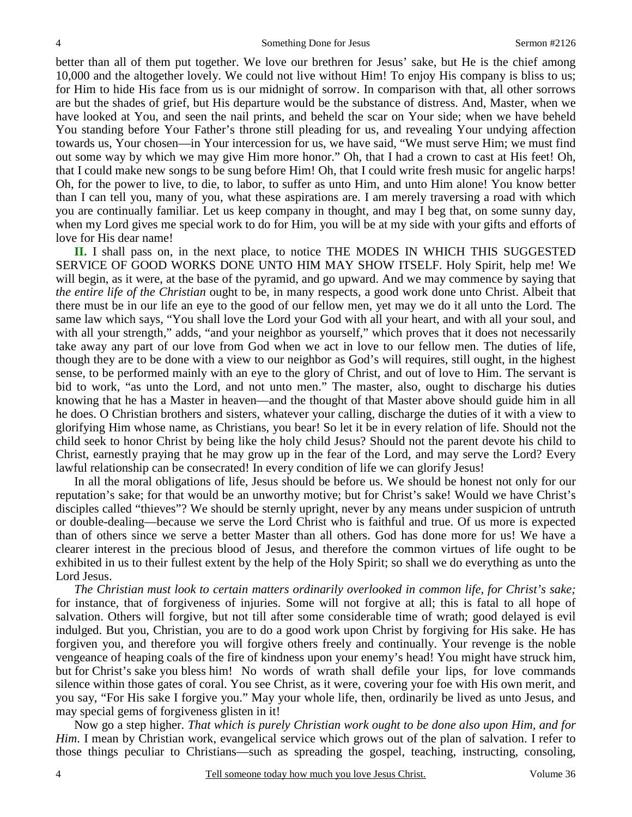better than all of them put together. We love our brethren for Jesus' sake, but He is the chief among 10,000 and the altogether lovely. We could not live without Him! To enjoy His company is bliss to us; for Him to hide His face from us is our midnight of sorrow. In comparison with that, all other sorrows are but the shades of grief, but His departure would be the substance of distress. And, Master, when we have looked at You, and seen the nail prints, and beheld the scar on Your side; when we have beheld You standing before Your Father's throne still pleading for us, and revealing Your undying affection towards us, Your chosen—in Your intercession for us, we have said, "We must serve Him; we must find out some way by which we may give Him more honor." Oh, that I had a crown to cast at His feet! Oh, that I could make new songs to be sung before Him! Oh, that I could write fresh music for angelic harps! Oh, for the power to live, to die, to labor, to suffer as unto Him, and unto Him alone! You know better than I can tell you, many of you, what these aspirations are. I am merely traversing a road with which you are continually familiar. Let us keep company in thought, and may I beg that, on some sunny day, when my Lord gives me special work to do for Him, you will be at my side with your gifts and efforts of love for His dear name!

**II.** I shall pass on, in the next place, to notice THE MODES IN WHICH THIS SUGGESTED SERVICE OF GOOD WORKS DONE UNTO HIM MAY SHOW ITSELF. Holy Spirit, help me! We will begin, as it were, at the base of the pyramid, and go upward. And we may commence by saying that *the entire life of the Christian* ought to be, in many respects, a good work done unto Christ. Albeit that there must be in our life an eye to the good of our fellow men, yet may we do it all unto the Lord. The same law which says, "You shall love the Lord your God with all your heart, and with all your soul, and with all your strength," adds, "and your neighbor as yourself," which proves that it does not necessarily take away any part of our love from God when we act in love to our fellow men. The duties of life, though they are to be done with a view to our neighbor as God's will requires, still ought, in the highest sense, to be performed mainly with an eye to the glory of Christ, and out of love to Him. The servant is bid to work, "as unto the Lord, and not unto men." The master, also, ought to discharge his duties knowing that he has a Master in heaven—and the thought of that Master above should guide him in all he does. O Christian brothers and sisters, whatever your calling, discharge the duties of it with a view to glorifying Him whose name, as Christians, you bear! So let it be in every relation of life. Should not the child seek to honor Christ by being like the holy child Jesus? Should not the parent devote his child to Christ, earnestly praying that he may grow up in the fear of the Lord, and may serve the Lord? Every lawful relationship can be consecrated! In every condition of life we can glorify Jesus!

 In all the moral obligations of life, Jesus should be before us. We should be honest not only for our reputation's sake; for that would be an unworthy motive; but for Christ's sake! Would we have Christ's disciples called "thieves"? We should be sternly upright, never by any means under suspicion of untruth or double-dealing—because we serve the Lord Christ who is faithful and true. Of us more is expected than of others since we serve a better Master than all others. God has done more for us! We have a clearer interest in the precious blood of Jesus, and therefore the common virtues of life ought to be exhibited in us to their fullest extent by the help of the Holy Spirit; so shall we do everything as unto the Lord Jesus.

*The Christian must look to certain matters ordinarily overlooked in common life, for Christ's sake;* for instance, that of forgiveness of injuries. Some will not forgive at all; this is fatal to all hope of salvation. Others will forgive, but not till after some considerable time of wrath; good delayed is evil indulged. But you, Christian, you are to do a good work upon Christ by forgiving for His sake. He has forgiven you, and therefore you will forgive others freely and continually. Your revenge is the noble vengeance of heaping coals of the fire of kindness upon your enemy's head! You might have struck him, but for Christ's sake you bless him! No words of wrath shall defile your lips, for love commands silence within those gates of coral. You see Christ, as it were, covering your foe with His own merit, and you say, "For His sake I forgive you." May your whole life, then, ordinarily be lived as unto Jesus, and may special gems of forgiveness glisten in it!

 Now go a step higher. *That which is purely Christian work ought to be done also upon Him, and for Him*. I mean by Christian work, evangelical service which grows out of the plan of salvation. I refer to those things peculiar to Christians—such as spreading the gospel, teaching, instructing, consoling,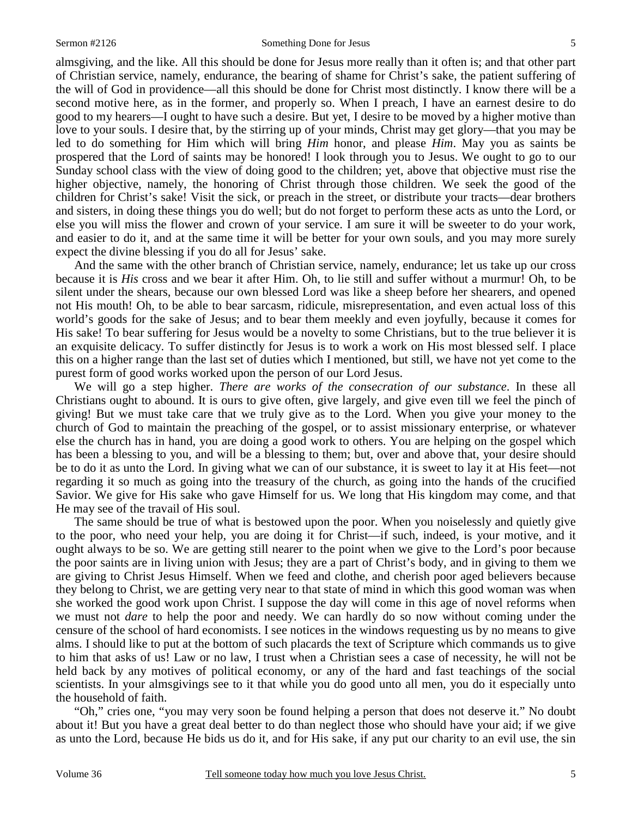almsgiving, and the like. All this should be done for Jesus more really than it often is; and that other part of Christian service, namely, endurance, the bearing of shame for Christ's sake, the patient suffering of the will of God in providence—all this should be done for Christ most distinctly. I know there will be a second motive here, as in the former, and properly so. When I preach, I have an earnest desire to do good to my hearers—I ought to have such a desire. But yet, I desire to be moved by a higher motive than love to your souls. I desire that, by the stirring up of your minds, Christ may get glory—that you may be led to do something for Him which will bring *Him* honor, and please *Him*. May you as saints be prospered that the Lord of saints may be honored! I look through you to Jesus. We ought to go to our Sunday school class with the view of doing good to the children; yet, above that objective must rise the higher objective, namely, the honoring of Christ through those children. We seek the good of the children for Christ's sake! Visit the sick, or preach in the street, or distribute your tracts—dear brothers and sisters, in doing these things you do well; but do not forget to perform these acts as unto the Lord, or else you will miss the flower and crown of your service. I am sure it will be sweeter to do your work, and easier to do it, and at the same time it will be better for your own souls, and you may more surely expect the divine blessing if you do all for Jesus' sake.

 And the same with the other branch of Christian service, namely, endurance; let us take up our cross because it is *His* cross and we bear it after Him. Oh, to lie still and suffer without a murmur! Oh, to be silent under the shears, because our own blessed Lord was like a sheep before her shearers, and opened not His mouth! Oh, to be able to bear sarcasm, ridicule, misrepresentation, and even actual loss of this world's goods for the sake of Jesus; and to bear them meekly and even joyfully, because it comes for His sake! To bear suffering for Jesus would be a novelty to some Christians, but to the true believer it is an exquisite delicacy. To suffer distinctly for Jesus is to work a work on His most blessed self. I place this on a higher range than the last set of duties which I mentioned, but still, we have not yet come to the purest form of good works worked upon the person of our Lord Jesus.

 We will go a step higher. *There are works of the consecration of our substance*. In these all Christians ought to abound. It is ours to give often, give largely, and give even till we feel the pinch of giving! But we must take care that we truly give as to the Lord. When you give your money to the church of God to maintain the preaching of the gospel, or to assist missionary enterprise, or whatever else the church has in hand, you are doing a good work to others. You are helping on the gospel which has been a blessing to you, and will be a blessing to them; but, over and above that, your desire should be to do it as unto the Lord. In giving what we can of our substance, it is sweet to lay it at His feet—not regarding it so much as going into the treasury of the church, as going into the hands of the crucified Savior. We give for His sake who gave Himself for us. We long that His kingdom may come, and that He may see of the travail of His soul.

 The same should be true of what is bestowed upon the poor. When you noiselessly and quietly give to the poor, who need your help, you are doing it for Christ—if such, indeed, is your motive, and it ought always to be so. We are getting still nearer to the point when we give to the Lord's poor because the poor saints are in living union with Jesus; they are a part of Christ's body, and in giving to them we are giving to Christ Jesus Himself. When we feed and clothe, and cherish poor aged believers because they belong to Christ, we are getting very near to that state of mind in which this good woman was when she worked the good work upon Christ. I suppose the day will come in this age of novel reforms when we must not *dare* to help the poor and needy. We can hardly do so now without coming under the censure of the school of hard economists. I see notices in the windows requesting us by no means to give alms. I should like to put at the bottom of such placards the text of Scripture which commands us to give to him that asks of us! Law or no law, I trust when a Christian sees a case of necessity, he will not be held back by any motives of political economy, or any of the hard and fast teachings of the social scientists. In your almsgivings see to it that while you do good unto all men, you do it especially unto the household of faith.

 "Oh," cries one, "you may very soon be found helping a person that does not deserve it." No doubt about it! But you have a great deal better to do than neglect those who should have your aid; if we give as unto the Lord, because He bids us do it, and for His sake, if any put our charity to an evil use, the sin

5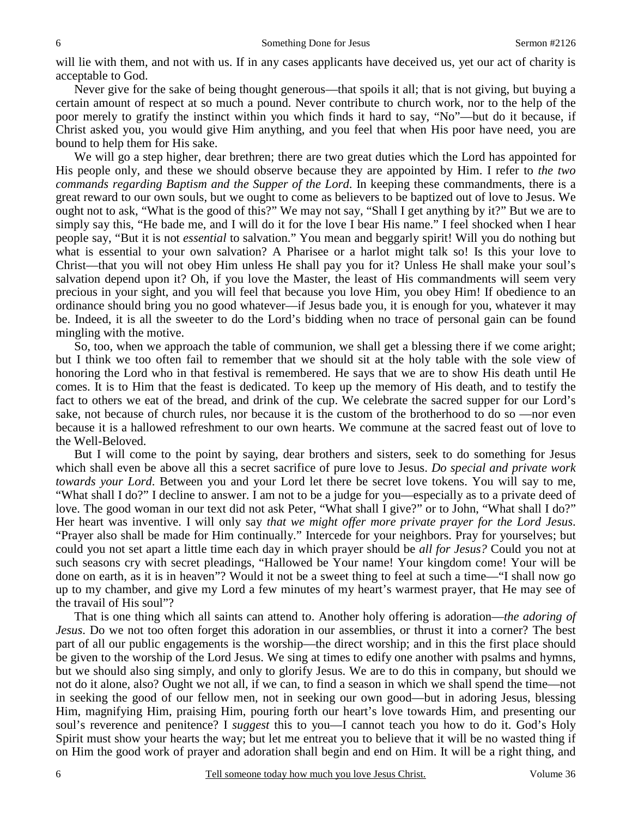will lie with them, and not with us. If in any cases applicants have deceived us, yet our act of charity is acceptable to God.

 Never give for the sake of being thought generous—that spoils it all; that is not giving, but buying a certain amount of respect at so much a pound. Never contribute to church work, nor to the help of the poor merely to gratify the instinct within you which finds it hard to say, "No"—but do it because, if Christ asked you, you would give Him anything, and you feel that when His poor have need, you are bound to help them for His sake.

 We will go a step higher, dear brethren; there are two great duties which the Lord has appointed for His people only, and these we should observe because they are appointed by Him. I refer to *the two commands regarding Baptism and the Supper of the Lord*. In keeping these commandments, there is a great reward to our own souls, but we ought to come as believers to be baptized out of love to Jesus. We ought not to ask, "What is the good of this?" We may not say, "Shall I get anything by it?" But we are to simply say this, "He bade me, and I will do it for the love I bear His name." I feel shocked when I hear people say, "But it is not *essential* to salvation." You mean and beggarly spirit! Will you do nothing but what is essential to your own salvation? A Pharisee or a harlot might talk so! Is this your love to Christ—that you will not obey Him unless He shall pay you for it? Unless He shall make your soul's salvation depend upon it? Oh, if you love the Master, the least of His commandments will seem very precious in your sight, and you will feel that because you love Him, you obey Him! If obedience to an ordinance should bring you no good whatever—if Jesus bade you, it is enough for you, whatever it may be. Indeed, it is all the sweeter to do the Lord's bidding when no trace of personal gain can be found mingling with the motive.

 So, too, when we approach the table of communion, we shall get a blessing there if we come aright; but I think we too often fail to remember that we should sit at the holy table with the sole view of honoring the Lord who in that festival is remembered. He says that we are to show His death until He comes. It is to Him that the feast is dedicated. To keep up the memory of His death, and to testify the fact to others we eat of the bread, and drink of the cup. We celebrate the sacred supper for our Lord's sake, not because of church rules, nor because it is the custom of the brotherhood to do so —nor even because it is a hallowed refreshment to our own hearts. We commune at the sacred feast out of love to the Well-Beloved.

 But I will come to the point by saying, dear brothers and sisters, seek to do something for Jesus which shall even be above all this a secret sacrifice of pure love to Jesus. *Do special and private work towards your Lord*. Between you and your Lord let there be secret love tokens. You will say to me, "What shall I do?" I decline to answer. I am not to be a judge for you—especially as to a private deed of love. The good woman in our text did not ask Peter, "What shall I give?" or to John, "What shall I do?" Her heart was inventive. I will only say *that we might offer more private prayer for the Lord Jesus*. "Prayer also shall be made for Him continually." Intercede for your neighbors. Pray for yourselves; but could you not set apart a little time each day in which prayer should be *all for Jesus?* Could you not at such seasons cry with secret pleadings, "Hallowed be Your name! Your kingdom come! Your will be done on earth, as it is in heaven"? Would it not be a sweet thing to feel at such a time—"I shall now go up to my chamber, and give my Lord a few minutes of my heart's warmest prayer, that He may see of the travail of His soul"?

 That is one thing which all saints can attend to. Another holy offering is adoration—*the adoring of Jesus*. Do we not too often forget this adoration in our assemblies, or thrust it into a corner? The best part of all our public engagements is the worship—the direct worship; and in this the first place should be given to the worship of the Lord Jesus. We sing at times to edify one another with psalms and hymns, but we should also sing simply, and only to glorify Jesus. We are to do this in company, but should we not do it alone, also? Ought we not all, if we can, to find a season in which we shall spend the time—not in seeking the good of our fellow men, not in seeking our own good—but in adoring Jesus, blessing Him, magnifying Him, praising Him, pouring forth our heart's love towards Him, and presenting our soul's reverence and penitence? I *suggest* this to you—I cannot teach you how to do it. God's Holy Spirit must show your hearts the way; but let me entreat you to believe that it will be no wasted thing if on Him the good work of prayer and adoration shall begin and end on Him. It will be a right thing, and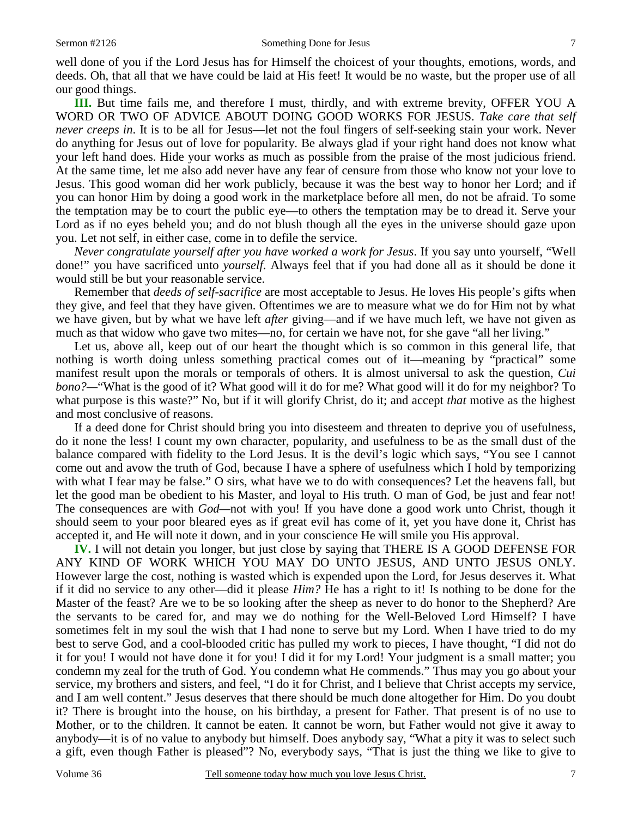well done of you if the Lord Jesus has for Himself the choicest of your thoughts, emotions, words, and deeds. Oh, that all that we have could be laid at His feet! It would be no waste, but the proper use of all our good things.

**III.** But time fails me, and therefore I must, thirdly, and with extreme brevity, OFFER YOU A WORD OR TWO OF ADVICE ABOUT DOING GOOD WORKS FOR JESUS. *Take care that self never creeps in*. It is to be all for Jesus—let not the foul fingers of self-seeking stain your work. Never do anything for Jesus out of love for popularity. Be always glad if your right hand does not know what your left hand does. Hide your works as much as possible from the praise of the most judicious friend. At the same time, let me also add never have any fear of censure from those who know not your love to Jesus. This good woman did her work publicly, because it was the best way to honor her Lord; and if you can honor Him by doing a good work in the marketplace before all men, do not be afraid. To some the temptation may be to court the public eye—to others the temptation may be to dread it. Serve your Lord as if no eyes beheld you; and do not blush though all the eyes in the universe should gaze upon you. Let not self, in either case, come in to defile the service.

*Never congratulate yourself after you have worked a work for Jesus*. If you say unto yourself, "Well done!" you have sacrificed unto *yourself*. Always feel that if you had done all as it should be done it would still be but your reasonable service.

 Remember that *deeds of self-sacrifice* are most acceptable to Jesus. He loves His people's gifts when they give, and feel that they have given. Oftentimes we are to measure what we do for Him not by what we have given, but by what we have left *after* giving—and if we have much left, we have not given as much as that widow who gave two mites—no, for certain we have not, for she gave "all her living."

 Let us, above all, keep out of our heart the thought which is so common in this general life, that nothing is worth doing unless something practical comes out of it—meaning by "practical" some manifest result upon the morals or temporals of others. It is almost universal to ask the question, *Cui bono?—*"What is the good of it? What good will it do for me? What good will it do for my neighbor? To what purpose is this waste?" No, but if it will glorify Christ, do it; and accept *that* motive as the highest and most conclusive of reasons.

 If a deed done for Christ should bring you into disesteem and threaten to deprive you of usefulness, do it none the less! I count my own character, popularity, and usefulness to be as the small dust of the balance compared with fidelity to the Lord Jesus. It is the devil's logic which says, "You see I cannot come out and avow the truth of God, because I have a sphere of usefulness which I hold by temporizing with what I fear may be false." O sirs, what have we to do with consequences? Let the heavens fall, but let the good man be obedient to his Master, and loyal to His truth. O man of God, be just and fear not! The consequences are with *God—*not with you! If you have done a good work unto Christ, though it should seem to your poor bleared eyes as if great evil has come of it, yet you have done it, Christ has accepted it, and He will note it down, and in your conscience He will smile you His approval.

**IV.** I will not detain you longer, but just close by saying that THERE IS A GOOD DEFENSE FOR ANY KIND OF WORK WHICH YOU MAY DO UNTO JESUS, AND UNTO JESUS ONLY. However large the cost, nothing is wasted which is expended upon the Lord, for Jesus deserves it. What if it did no service to any other—did it please *Him?* He has a right to it! Is nothing to be done for the Master of the feast? Are we to be so looking after the sheep as never to do honor to the Shepherd? Are the servants to be cared for, and may we do nothing for the Well-Beloved Lord Himself? I have sometimes felt in my soul the wish that I had none to serve but my Lord. When I have tried to do my best to serve God, and a cool-blooded critic has pulled my work to pieces, I have thought, "I did not do it for you! I would not have done it for you! I did it for my Lord! Your judgment is a small matter; you condemn my zeal for the truth of God. You condemn what He commends." Thus may you go about your service, my brothers and sisters, and feel, "I do it for Christ, and I believe that Christ accepts my service, and I am well content." Jesus deserves that there should be much done altogether for Him. Do you doubt it? There is brought into the house, on his birthday, a present for Father. That present is of no use to Mother, or to the children. It cannot be eaten. It cannot be worn, but Father would not give it away to anybody—it is of no value to anybody but himself. Does anybody say, "What a pity it was to select such a gift, even though Father is pleased"? No, everybody says, "That is just the thing we like to give to